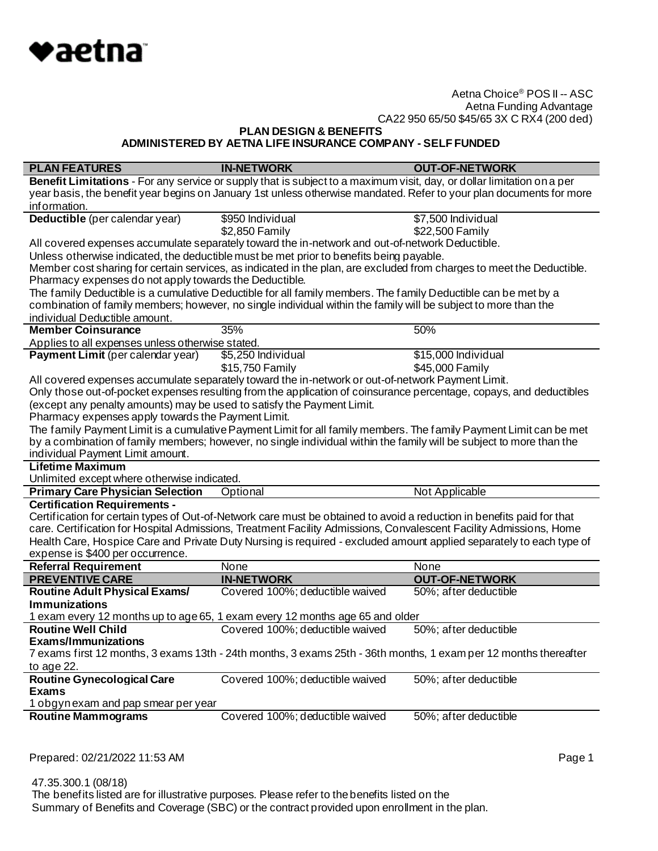

**PLAN DESIGN & BENEFITS**

**ADMINISTERED BY AETNA LIFE INSURANCE COMPANY - SELF FUNDED**

| <b>PLAN FEATURES</b>                                                   | <b>IN-NETWORK</b>                                                                                                      | <b>OUT-OF-NETWORK</b> |
|------------------------------------------------------------------------|------------------------------------------------------------------------------------------------------------------------|-----------------------|
|                                                                        | Benefit Limitations - For any service or supply that is subject to a maximum visit, day, or dollar limitation on a per |                       |
|                                                                        | year basis, the benefit year begins on January 1st unless otherwise mandated. Refer to your plan documents for more    |                       |
| information.                                                           |                                                                                                                        |                       |
| Deductible (per calendar year)                                         | \$950 Individual                                                                                                       | \$7,500 Individual    |
|                                                                        | \$2,850 Family                                                                                                         | \$22,500 Family       |
|                                                                        | All covered expenses accumulate separately toward the in-network and out-of-network Deductible.                        |                       |
|                                                                        | Unless otherwise indicated, the deductible must be met prior to benefits being payable.                                |                       |
|                                                                        | Member cost sharing for certain services, as indicated in the plan, are excluded from charges to meet the Deductible.  |                       |
| Pharmacy expenses do not apply towards the Deductible.                 |                                                                                                                        |                       |
|                                                                        | The family Deductible is a cumulative Deductible for all family members. The family Deductible can be met by a         |                       |
|                                                                        | combination of family members; however, no single individual within the family will be subject to more than the        |                       |
| individual Deductible amount.                                          |                                                                                                                        |                       |
| <b>Member Coinsurance</b>                                              | 35%                                                                                                                    | 50%                   |
| Applies to all expenses unless otherwise stated.                       |                                                                                                                        |                       |
| Payment Limit (per calendar year)                                      | \$5,250 Individual                                                                                                     | \$15,000 Individual   |
|                                                                        | \$15,750 Family                                                                                                        | \$45,000 Family       |
|                                                                        | All covered expenses accumulate separately toward the in-network or out-of-network Payment Limit.                      |                       |
|                                                                        | Only those out-of-pocket expenses resulting from the application of coinsurance percentage, copays, and deductibles    |                       |
| (except any penalty amounts) may be used to satisfy the Payment Limit. |                                                                                                                        |                       |
| Pharmacy expenses apply towards the Payment Limit.                     |                                                                                                                        |                       |
|                                                                        | The family Payment Limit is a cumulative Payment Limit for all family members. The family Payment Limit can be met     |                       |
|                                                                        | by a combination of family members; however, no single individual within the family will be subject to more than the   |                       |
| individual Payment Limit amount.                                       |                                                                                                                        |                       |
| <b>Lifetime Maximum</b>                                                |                                                                                                                        |                       |
| Unlimited except where otherwise indicated.                            |                                                                                                                        |                       |
| <b>Primary Care Physician Selection</b>                                | Optional                                                                                                               | Not Applicable        |
| <b>Certification Requirements -</b>                                    |                                                                                                                        |                       |
|                                                                        | Certification for certain types of Out-of-Network care must be obtained to avoid a reduction in benefits paid for that |                       |
|                                                                        | care. Certification for Hospital Admissions, Treatment Facility Admissions, Convalescent Facility Admissions, Home     |                       |
|                                                                        | Health Care, Hospice Care and Private Duty Nursing is required - excluded amount applied separately to each type of    |                       |
| expense is \$400 per occurrence.                                       |                                                                                                                        |                       |
| <b>Referral Requirement</b>                                            | None                                                                                                                   | None                  |
| <b>PREVENTIVE CARE</b>                                                 | <b>IN-NETWORK</b>                                                                                                      | <b>OUT-OF-NETWORK</b> |
| <b>Routine Adult Physical Exams/</b>                                   | Covered 100%; deductible waived                                                                                        | 50%; after deductible |
| <b>Immunizations</b>                                                   |                                                                                                                        |                       |
|                                                                        | 1 exam every 12 months up to age 65, 1 exam every 12 months age 65 and older                                           |                       |
| <b>Routine Well Child</b>                                              | Covered 100%; deductible waived                                                                                        | 50%; after deductible |
| Exams/Immunizations                                                    |                                                                                                                        |                       |
|                                                                        | 7 exams first 12 months, 3 exams 13th - 24th months, 3 exams 25th - 36th months, 1 exam per 12 months thereafter       |                       |
| to age 22.                                                             |                                                                                                                        |                       |
| <b>Routine Gynecological Care</b>                                      | Covered 100%; deductible waived                                                                                        | 50%; after deductible |
| <b>Exams</b>                                                           |                                                                                                                        |                       |
| 1 obgynexam and pap smear per year                                     | Covered 100%; deductible waived                                                                                        |                       |
| <b>Routine Mammograms</b>                                              |                                                                                                                        | 50%; after deductible |
|                                                                        |                                                                                                                        |                       |

Prepared: 02/21/2022 11:53 AM **Page 1** 

 47.35.300.1 (08/18) The benefits listed are for illustrative purposes. Please refer to the benefits listed on the Summary of Benefits and Coverage (SBC) or the contract provided upon enrollment in the plan.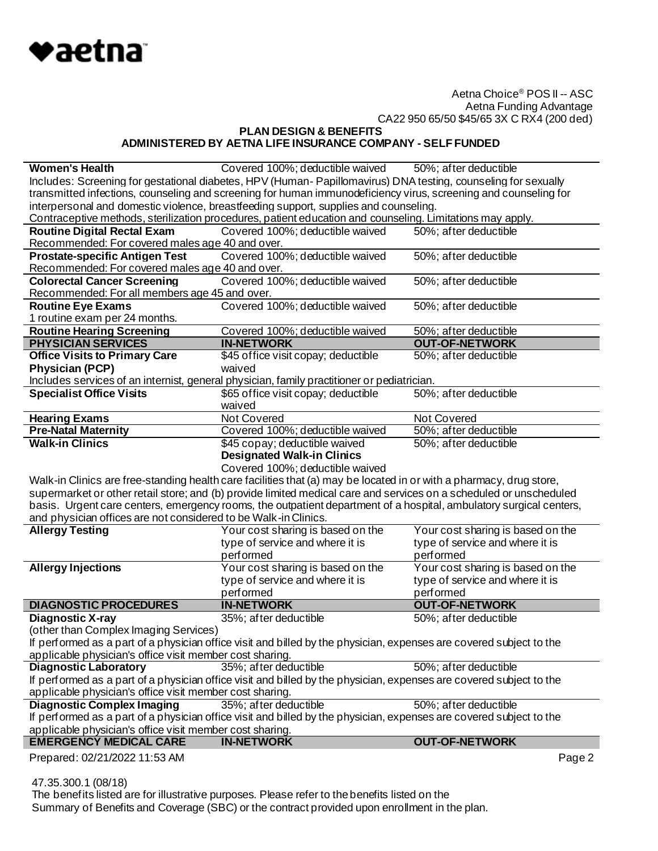

**PLAN DESIGN & BENEFITS ADMINISTERED BY AETNA LIFE INSURANCE COMPANY - SELF FUNDED**

| <b>Women's Health</b>                                                                                           | Covered 100%; deductible waived                                                                                     | 50%; after deductible             |
|-----------------------------------------------------------------------------------------------------------------|---------------------------------------------------------------------------------------------------------------------|-----------------------------------|
|                                                                                                                 | Includes: Screening for gestational diabetes, HPV (Human-Papillomavirus) DNA testing, counseling for sexually       |                                   |
| transmitted infections, counseling and screening for human immunodeficiency virus, screening and counseling for |                                                                                                                     |                                   |
|                                                                                                                 | interpersonal and domestic violence, breastfeeding support, supplies and counseling.                                |                                   |
|                                                                                                                 | Contraceptive methods, sterilization procedures, patient education and counseling. Limitations may apply.           |                                   |
| <b>Routine Digital Rectal Exam</b>                                                                              | Covered 100%; deductible waived                                                                                     | 50%; after deductible             |
| Recommended: For covered males age 40 and over.                                                                 |                                                                                                                     |                                   |
| <b>Prostate-specific Antigen Test</b>                                                                           | Covered 100%; deductible waived                                                                                     | 50%; after deductible             |
| Recommended: For covered males age 40 and over.                                                                 |                                                                                                                     |                                   |
| <b>Colorectal Cancer Screening</b>                                                                              | Covered 100%; deductible waived                                                                                     | 50%; after deductible             |
| Recommended: For all members age 45 and over.                                                                   |                                                                                                                     |                                   |
| <b>Routine Eye Exams</b>                                                                                        | Covered 100%; deductible waived                                                                                     | 50%; after deductible             |
| 1 routine exam per 24 months.                                                                                   |                                                                                                                     |                                   |
| <b>Routine Hearing Screening</b>                                                                                | Covered 100%; deductible waived                                                                                     | 50%; after deductible             |
| <b>PHYSICIAN SERVICES</b>                                                                                       | <b>IN-NETWORK</b>                                                                                                   | <b>OUT-OF-NETWORK</b>             |
| <b>Office Visits to Primary Care</b>                                                                            | \$45 office visit copay; deductible                                                                                 | 50%; after deductible             |
| <b>Physician (PCP)</b>                                                                                          | waived                                                                                                              |                                   |
|                                                                                                                 | Includes services of an internist, general physician, family practitioner or pediatrician.                          |                                   |
| <b>Specialist Office Visits</b>                                                                                 | \$65 office visit copay; deductible                                                                                 | 50%; after deductible             |
|                                                                                                                 | waived                                                                                                              |                                   |
| <b>Hearing Exams</b>                                                                                            | Not Covered                                                                                                         | Not Covered                       |
| <b>Pre-Natal Maternity</b>                                                                                      | Covered 100%; deductible waived                                                                                     | 50%; after deductible             |
| <b>Walk-in Clinics</b>                                                                                          | \$45 copay; deductible waived                                                                                       | 50%; after deductible             |
|                                                                                                                 | <b>Designated Walk-in Clinics</b>                                                                                   |                                   |
|                                                                                                                 |                                                                                                                     |                                   |
|                                                                                                                 | Covered 100%; deductible waived                                                                                     |                                   |
|                                                                                                                 | Walk-in Clinics are free-standing health care facilities that (a) may be located in or with a pharmacy, drug store, |                                   |
|                                                                                                                 | supermarket or other retail store; and (b) provide limited medical care and services on a scheduled or unscheduled  |                                   |
|                                                                                                                 | basis. Urgent care centers, emergency rooms, the outpatient department of a hospital, ambulatory surgical centers,  |                                   |
|                                                                                                                 |                                                                                                                     |                                   |
| and physician offices are not considered to be Walk-in Clinics.<br><b>Allergy Testing</b>                       | Your cost sharing is based on the                                                                                   | Your cost sharing is based on the |
|                                                                                                                 | type of service and where it is                                                                                     | type of service and where it is   |
|                                                                                                                 | performed                                                                                                           | performed                         |
| <b>Allergy Injections</b>                                                                                       | Your cost sharing is based on the                                                                                   | Your cost sharing is based on the |
|                                                                                                                 | type of service and where it is                                                                                     | type of service and where it is   |
|                                                                                                                 | performed                                                                                                           | performed                         |
| <b>DIAGNOSTIC PROCEDURES</b>                                                                                    | <b>IN-NETWORK</b>                                                                                                   | <b>OUT-OF-NETWORK</b>             |
| <b>Diagnostic X-ray</b>                                                                                         | 35%; after deductible                                                                                               | 50%; after deductible             |
| (other than Complex Imaging Services)                                                                           |                                                                                                                     |                                   |
|                                                                                                                 | If performed as a part of a physician office visit and billed by the physician, expenses are covered subject to the |                                   |
| applicable physician's office visit member cost sharing.                                                        |                                                                                                                     |                                   |
| <b>Diagnostic Laboratory</b>                                                                                    | 35%; after deductible                                                                                               | 50%; after deductible             |
|                                                                                                                 |                                                                                                                     |                                   |
| applicable physician's office visit member cost sharing.                                                        | If performed as a part of a physician office visit and billed by the physician, expenses are covered subject to the |                                   |
| <b>Diagnostic Complex Imaging</b>                                                                               | 35%; after deductible                                                                                               | 50%; after deductible             |
|                                                                                                                 | If performed as a part of a physician office visit and billed by the physician, expenses are covered subject to the |                                   |
| applicable physician's office visit member cost sharing.                                                        |                                                                                                                     |                                   |
| <b>EMERGENCY MEDICAL CARE</b>                                                                                   | <b>IN-NETWORK</b>                                                                                                   | <b>OUT-OF-NETWORK</b>             |

47.35.300.1 (08/18)

 The benefits listed are for illustrative purposes. Please refer to the benefits listed on the Summary of Benefits and Coverage (SBC) or the contract provided upon enrollment in the plan.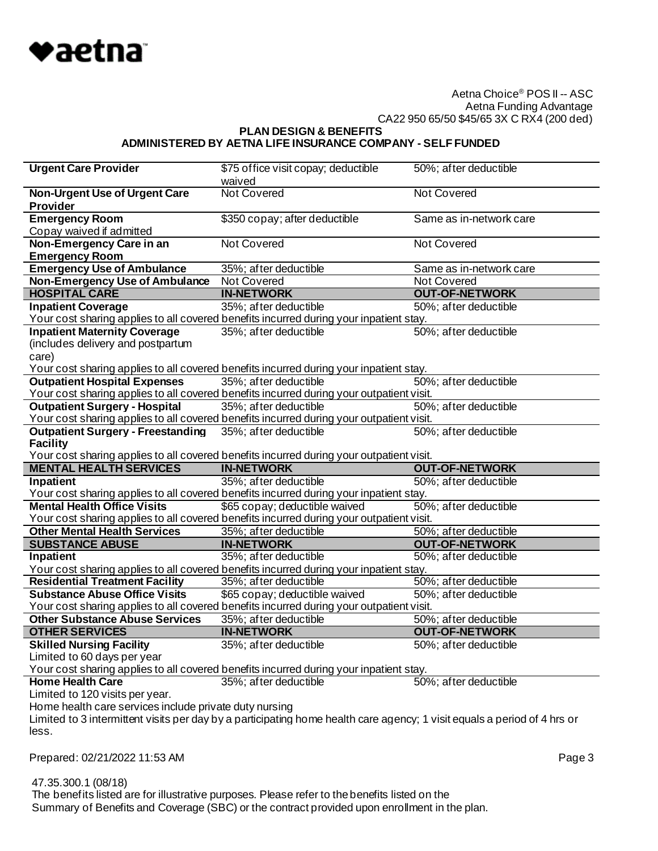

**PLAN DESIGN & BENEFITS ADMINISTERED BY AETNA LIFE INSURANCE COMPANY - SELF FUNDED**

| <b>Urgent Care Provider</b>                                                                                                       | \$75 office visit copay; deductible        | 50%; after deductible                          |
|-----------------------------------------------------------------------------------------------------------------------------------|--------------------------------------------|------------------------------------------------|
|                                                                                                                                   | waived                                     |                                                |
| <b>Non-Urgent Use of Urgent Care</b>                                                                                              | <b>Not Covered</b>                         | <b>Not Covered</b>                             |
| <b>Provider</b>                                                                                                                   |                                            |                                                |
| <b>Emergency Room</b>                                                                                                             | \$350 copay; after deductible              | Same as in-network care                        |
| Copay waived if admitted                                                                                                          |                                            |                                                |
| Non-Emergency Care in an                                                                                                          | Not Covered                                | Not Covered                                    |
| <b>Emergency Room</b>                                                                                                             |                                            |                                                |
| <b>Emergency Use of Ambulance</b>                                                                                                 | 35%; after deductible                      | Same as in-network care                        |
| <b>Non-Emergency Use of Ambulance</b>                                                                                             | <b>Not Covered</b>                         | <b>Not Covered</b>                             |
| <b>HOSPITAL CARE</b>                                                                                                              | <b>IN-NETWORK</b>                          | <b>OUT-OF-NETWORK</b>                          |
| <b>Inpatient Coverage</b>                                                                                                         | 35%; after deductible                      | 50%; after deductible                          |
| Your cost sharing applies to all covered benefits incurred during your inpatient stay.                                            |                                            |                                                |
| <b>Inpatient Maternity Coverage</b>                                                                                               | 35%; after deductible                      | 50%; after deductible                          |
| (includes delivery and postpartum                                                                                                 |                                            |                                                |
| care)                                                                                                                             |                                            |                                                |
| Your cost sharing applies to all covered benefits incurred during your inpatient stay.                                            |                                            |                                                |
| <b>Outpatient Hospital Expenses</b>                                                                                               | 35%; after deductible                      | 50%; after deductible                          |
| Your cost sharing applies to all covered benefits incurred during your outpatient visit.                                          |                                            |                                                |
| <b>Outpatient Surgery - Hospital</b>                                                                                              | 35%; after deductible                      | 50%; after deductible                          |
| Your cost sharing applies to all covered benefits incurred during your outpatient visit.                                          |                                            |                                                |
| <b>Outpatient Surgery - Freestanding</b><br><b>Facility</b>                                                                       | 35%; after deductible                      | 50%; after deductible                          |
| Your cost sharing applies to all covered benefits incurred during your outpatient visit.                                          |                                            |                                                |
|                                                                                                                                   |                                            |                                                |
|                                                                                                                                   |                                            |                                                |
| <b>MENTAL HEALTH SERVICES</b>                                                                                                     | <b>IN-NETWORK</b>                          | <b>OUT-OF-NETWORK</b>                          |
| Inpatient                                                                                                                         | 35%; after deductible                      | 50%; after deductible                          |
| Your cost sharing applies to all covered benefits incurred during your inpatient stay.                                            |                                            |                                                |
| <b>Mental Health Office Visits</b>                                                                                                | \$65 copay; deductible waived              | 50%; after deductible                          |
| Your cost sharing applies to all covered benefits incurred during your outpatient visit.                                          |                                            |                                                |
| <b>Other Mental Health Services</b>                                                                                               | 35%; after deductible                      | 50%; after deductible                          |
| <b>SUBSTANCE ABUSE</b>                                                                                                            | <b>IN-NETWORK</b>                          | <b>OUT-OF-NETWORK</b>                          |
| Inpatient                                                                                                                         | 35%; after deductible                      | 50%; after deductible                          |
| Your cost sharing applies to all covered benefits incurred during your inpatient stay.                                            |                                            |                                                |
| <b>Residential Treatment Facility</b><br><b>Substance Abuse Office Visits</b>                                                     | 35%; after deductible                      | 50%; after deductible                          |
|                                                                                                                                   | \$65 copay; deductible waived              | 50%; after deductible                          |
| Your cost sharing applies to all covered benefits incurred during your outpatient visit.<br><b>Other Substance Abuse Services</b> |                                            |                                                |
|                                                                                                                                   | 35%; after deductible                      | 50%; after deductible<br><b>OUT-OF-NETWORK</b> |
| <b>OTHER SERVICES</b><br><b>Skilled Nursing Facility</b>                                                                          | <b>IN-NETWORK</b><br>35%; after deductible |                                                |
| Limited to 60 days per year                                                                                                       |                                            | 50%; after deductible                          |
| Your cost sharing applies to all covered benefits incurred during your inpatient stay.                                            |                                            |                                                |
| <b>Home Health Care</b>                                                                                                           | 35%; after deductible                      | 50%; after deductible                          |
| Limited to 120 visits per year.                                                                                                   |                                            |                                                |
| Home health care services include private duty nursing                                                                            |                                            |                                                |
| Limited to 3 intermittent visits per day by a participating home health care agency; 1 visit equals a period of 4 hrs or          |                                            |                                                |
| less.                                                                                                                             |                                            |                                                |
|                                                                                                                                   |                                            |                                                |
| Prepared: 02/21/2022 11:53 AM                                                                                                     |                                            | Page 3                                         |

47.35.300.1 (08/18)

 The benefits listed are for illustrative purposes. Please refer to the benefits listed on the Summary of Benefits and Coverage (SBC) or the contract provided upon enrollment in the plan.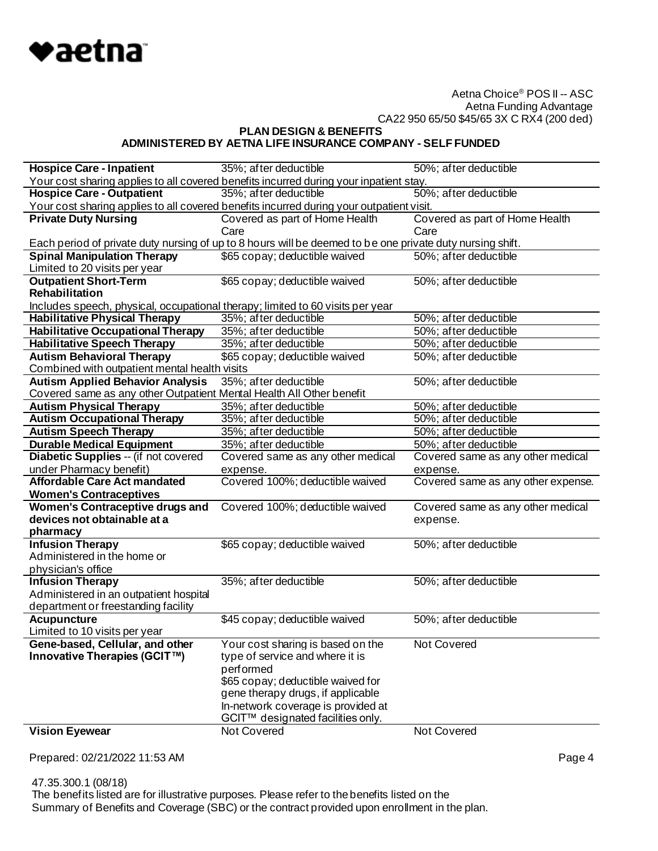

**PLAN DESIGN & BENEFITS**

# **ADMINISTERED BY AETNA LIFE INSURANCE COMPANY - SELF FUNDED**

| <b>Hospice Care - Inpatient</b>                                                | 35%; after deductible                                                                                     | 50%; after deductible              |
|--------------------------------------------------------------------------------|-----------------------------------------------------------------------------------------------------------|------------------------------------|
|                                                                                | Your cost sharing applies to all covered benefits incurred during your inpatient stay.                    |                                    |
| <b>Hospice Care - Outpatient</b>                                               | 35%; after deductible                                                                                     | 50%; after deductible              |
|                                                                                | Your cost sharing applies to all covered benefits incurred during your outpatient visit.                  |                                    |
| <b>Private Duty Nursing</b>                                                    | Covered as part of Home Health                                                                            | Covered as part of Home Health     |
|                                                                                | Care                                                                                                      | Care                               |
|                                                                                | Each period of private duty nursing of up to 8 hours will be deemed to be one private duty nursing shift. |                                    |
| <b>Spinal Manipulation Therapy</b>                                             | \$65 copay; deductible waived                                                                             | 50%; after deductible              |
| Limited to 20 visits per year                                                  |                                                                                                           |                                    |
| <b>Outpatient Short-Term</b>                                                   | \$65 copay; deductible waived                                                                             | 50%; after deductible              |
| Rehabilitation                                                                 |                                                                                                           |                                    |
| Includes speech, physical, occupational therapy; limited to 60 visits per year |                                                                                                           |                                    |
| <b>Habilitative Physical Therapy</b>                                           | 35%; after deductible                                                                                     | 50%; after deductible              |
| <b>Habilitative Occupational Therapy</b>                                       | 35%; after deductible                                                                                     | 50%; after deductible              |
| <b>Habilitative Speech Therapy</b>                                             | 35%; after deductible                                                                                     | 50%; after deductible              |
| <b>Autism Behavioral Therapy</b>                                               | \$65 copay; deductible waived                                                                             | 50%; after deductible              |
| Combined with outpatient mental health visits                                  |                                                                                                           |                                    |
| <b>Autism Applied Behavior Analysis</b>                                        | 35%; after deductible                                                                                     | 50%; after deductible              |
| Covered same as any other Outpatient Mental Health All Other benefit           |                                                                                                           |                                    |
| <b>Autism Physical Therapy</b>                                                 | 35%; after deductible                                                                                     | 50%; after deductible              |
| <b>Autism Occupational Therapy</b>                                             | 35%; after deductible                                                                                     | 50%; after deductible              |
| <b>Autism Speech Therapy</b>                                                   | 35%; after deductible                                                                                     | 50%; after deductible              |
| <b>Durable Medical Equipment</b>                                               | 35%; after deductible                                                                                     | 50%; after deductible              |
| Diabetic Supplies -- (if not covered                                           | Covered same as any other medical                                                                         | Covered same as any other medical  |
| under Pharmacy benefit)                                                        | expense.                                                                                                  | expense.                           |
| <b>Affordable Care Act mandated</b>                                            | Covered 100%; deductible waived                                                                           | Covered same as any other expense. |
| <b>Women's Contraceptives</b>                                                  |                                                                                                           |                                    |
| <b>Women's Contraceptive drugs and</b>                                         | Covered 100%; deductible waived                                                                           | Covered same as any other medical  |
| devices not obtainable at a                                                    |                                                                                                           | expense.                           |
| pharmacy                                                                       |                                                                                                           |                                    |
| <b>Infusion Therapy</b>                                                        | \$65 copay; deductible waived                                                                             | 50%; after deductible              |
| Administered in the home or                                                    |                                                                                                           |                                    |
| physician's office                                                             |                                                                                                           |                                    |
| <b>Infusion Therapy</b>                                                        | 35%; after deductible                                                                                     | 50%; after deductible              |
| Administered in an outpatient hospital                                         |                                                                                                           |                                    |
| department or freestanding facility                                            |                                                                                                           |                                    |
| <b>Acupuncture</b>                                                             | \$45 copay; deductible waived                                                                             | 50%; after deductible              |
| Limited to 10 visits per year                                                  |                                                                                                           |                                    |
| Gene-based, Cellular, and other                                                | Your cost sharing is based on the                                                                         | Not Covered                        |
| Innovative Therapies (GCIT™)                                                   | type of service and where it is                                                                           |                                    |
|                                                                                | performed                                                                                                 |                                    |
|                                                                                | \$65 copay; deductible waived for                                                                         |                                    |
|                                                                                | gene therapy drugs, if applicable                                                                         |                                    |
|                                                                                | In-network coverage is provided at                                                                        |                                    |
|                                                                                | GCIT™ designated facilities only.                                                                         |                                    |
| <b>Vision Eyewear</b>                                                          | Not Covered                                                                                               | Not Covered                        |

Prepared: 02/21/2022 11:53 AM Page 4

 47.35.300.1 (08/18) The benefits listed are for illustrative purposes. Please refer to the benefits listed on the Summary of Benefits and Coverage (SBC) or the contract provided upon enrollment in the plan.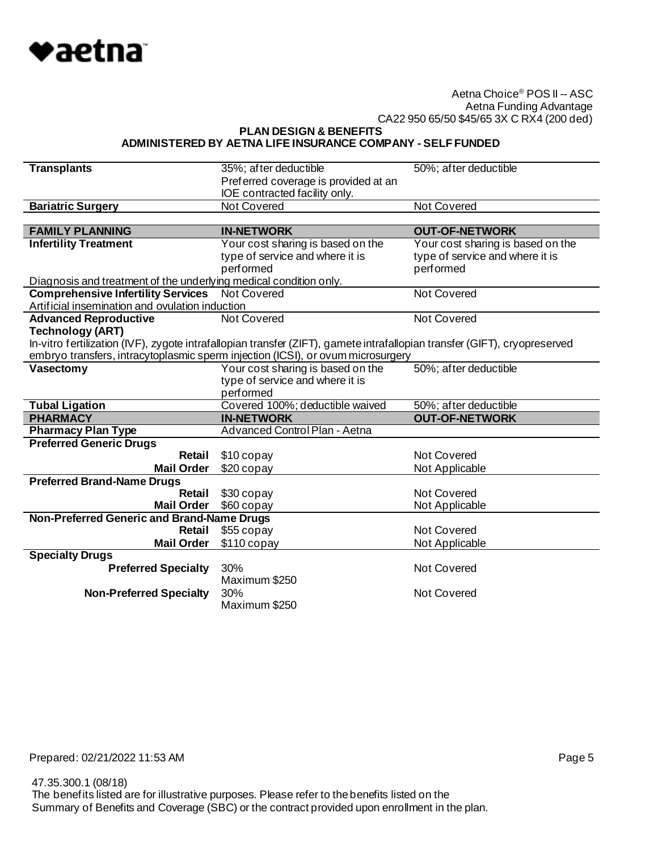

**PLAN DESIGN & BENEFITS**

#### **ADMINISTERED BY AETNA LIFE INSURANCE COMPANY - SELF FUNDED**

| <b>Transplants</b>                                                | 35%; after deductible<br>Preferred coverage is provided at an                                                             | 50%; after deductible             |
|-------------------------------------------------------------------|---------------------------------------------------------------------------------------------------------------------------|-----------------------------------|
|                                                                   | IOE contracted facility only.                                                                                             |                                   |
| <b>Bariatric Surgery</b>                                          | <b>Not Covered</b>                                                                                                        | <b>Not Covered</b>                |
|                                                                   |                                                                                                                           |                                   |
| <b>FAMILY PLANNING</b>                                            | <b>IN-NETWORK</b>                                                                                                         | <b>OUT-OF-NETWORK</b>             |
| <b>Infertility Treatment</b>                                      | Your cost sharing is based on the                                                                                         | Your cost sharing is based on the |
|                                                                   | type of service and where it is                                                                                           | type of service and where it is   |
|                                                                   | performed                                                                                                                 | performed                         |
| Diagnosis and treatment of the underlying medical condition only. |                                                                                                                           |                                   |
| <b>Comprehensive Infertility Services</b>                         | <b>Not Covered</b>                                                                                                        | Not Covered                       |
| Artificial insemination and ovulation induction                   |                                                                                                                           |                                   |
| <b>Advanced Reproductive</b>                                      | Not Covered                                                                                                               | Not Covered                       |
| <b>Technology (ART)</b>                                           |                                                                                                                           |                                   |
|                                                                   | In-vitro fertilization (IVF), zygote intrafallopian transfer (ZIFT), gamete intrafallopian transfer (GIFT), cryopreserved |                                   |
|                                                                   | embryo transfers, intracytoplasmic sperm injection (ICSI), or ovum microsurgery                                           |                                   |
| Vasectomy                                                         | Your cost sharing is based on the                                                                                         | 50%; after deductible             |
|                                                                   | type of service and where it is<br>performed                                                                              |                                   |
| <b>Tubal Ligation</b>                                             | Covered 100%; deductible waived                                                                                           | 50%; after deductible             |
| <b>PHARMACY</b>                                                   | <b>IN-NETWORK</b>                                                                                                         | <b>OUT-OF-NETWORK</b>             |
| <b>Pharmacy Plan Type</b>                                         | Advanced Control Plan - Aetna                                                                                             |                                   |
| <b>Preferred Generic Drugs</b>                                    |                                                                                                                           |                                   |
| Retail                                                            | \$10 copay                                                                                                                | Not Covered                       |
| <b>Mail Order</b>                                                 | $$20$ copay                                                                                                               | Not Applicable                    |
| <b>Preferred Brand-Name Drugs</b>                                 |                                                                                                                           |                                   |
| Retail                                                            | \$30 copay                                                                                                                | <b>Not Covered</b>                |
| <b>Mail Order</b>                                                 | \$60 copay                                                                                                                | Not Applicable                    |
| Non-Preferred Generic and Brand-Name Drugs                        |                                                                                                                           |                                   |
| Retail                                                            | \$55 copay                                                                                                                | Not Covered                       |
| <b>Mail Order</b>                                                 | $$110$ copay                                                                                                              | Not Applicable                    |
| <b>Specialty Drugs</b>                                            |                                                                                                                           |                                   |
| <b>Preferred Specialty</b>                                        | 30%                                                                                                                       | <b>Not Covered</b>                |
|                                                                   | Maximum \$250                                                                                                             |                                   |
| <b>Non-Preferred Specialty</b>                                    | 30%                                                                                                                       | Not Covered                       |
|                                                                   | Maximum \$250                                                                                                             |                                   |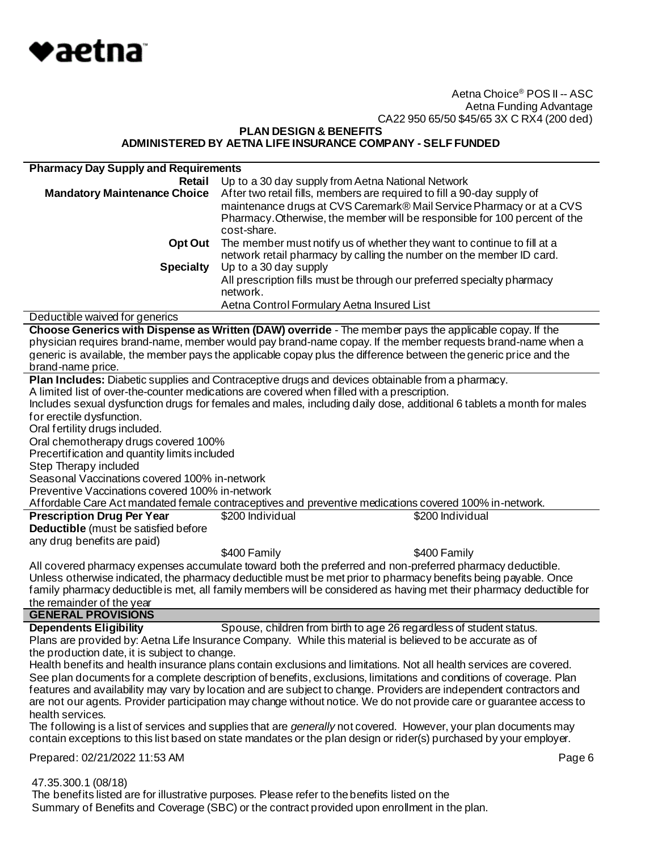

**PLAN DESIGN & BENEFITS ADMINISTERED BY AETNA LIFE INSURANCE COMPANY - SELF FUNDED**

| <b>Pharmacy Day Supply and Requirements</b>     |                                                                                                                          |
|-------------------------------------------------|--------------------------------------------------------------------------------------------------------------------------|
| Retail                                          | Up to a 30 day supply from Aetna National Network                                                                        |
| <b>Mandatory Maintenance Choice</b>             | After two retail fills, members are required to fill a 90-day supply of                                                  |
|                                                 | maintenance drugs at CVS Caremark® Mail Service Pharmacy or at a CVS                                                     |
|                                                 | Pharmacy. Otherwise, the member will be responsible for 100 percent of the                                               |
|                                                 | cost-share.                                                                                                              |
| Opt Out                                         | The member must notify us of whether they want to continue to fill at a                                                  |
|                                                 | network retail pharmacy by calling the number on the member ID card.                                                     |
| <b>Specialty</b>                                | Up to a 30 day supply                                                                                                    |
|                                                 | All prescription fills must be through our preferred specialty pharmacy                                                  |
|                                                 | network.                                                                                                                 |
|                                                 | Aetna Control Formulary Aetna Insured List                                                                               |
| Deductible waived for generics                  |                                                                                                                          |
|                                                 | Choose Generics with Dispense as Written (DAW) override - The member pays the applicable copay. If the                   |
|                                                 | physician requires brand-name, member would pay brand-name copay. If the member requests brand-name when a               |
|                                                 | generic is available, the member pays the applicable copay plus the difference between the generic price and the         |
| brand-name price.                               |                                                                                                                          |
|                                                 | Plan Includes: Diabetic supplies and Contraceptive drugs and devices obtainable from a pharmacy.                         |
|                                                 | A limited list of over-the-counter medications are covered when filled with a prescription.                              |
|                                                 | Includes sexual dysfunction drugs for females and males, including daily dose, additional 6 tablets a month for males    |
| for erectile dysfunction.                       |                                                                                                                          |
| Oral fertility drugs included.                  |                                                                                                                          |
| Oral chemotherapy drugs covered 100%            |                                                                                                                          |
| Precertification and quantity limits included   |                                                                                                                          |
| Step Therapy included                           |                                                                                                                          |
| Seasonal Vaccinations covered 100% in-network   |                                                                                                                          |
| Preventive Vaccinations covered 100% in-network |                                                                                                                          |
|                                                 | Affordable Care Act mandated female contraceptives and preventive medications covered 100% in-network.                   |
| <b>Prescription Drug Per Year</b>               | \$200 Individual<br>\$200 Individual                                                                                     |
| <b>Deductible</b> (must be satisfied before     |                                                                                                                          |
| any drug benefits are paid)                     |                                                                                                                          |
|                                                 | \$400 Family<br>\$400 Family                                                                                             |
|                                                 | All covered pharmacy expenses accumulate toward both the preferred and non-preferred pharmacy deductible.                |
|                                                 | Unless otherwise indicated, the pharmacy deductible must be met prior to pharmacy benefits being payable. Once           |
|                                                 | family pharmacy deductible is met, all family members will be considered as having met their pharmacy deductible for     |
| the remainder of the year                       |                                                                                                                          |
| <b>GENERAL PROVISIONS</b>                       |                                                                                                                          |
| <b>Dependents Eligibility</b>                   | Spouse, children from birth to age 26 regardless of student status.                                                      |
|                                                 | Plans are provided by: Aetna Life Insurance Company. While this material is believed to be accurate as of                |
| the production date, it is subject to change.   |                                                                                                                          |
|                                                 | Health benefits and health insurance plans contain exclusions and limitations. Not all health services are covered.      |
|                                                 | See plan documents for a complete description of benefits, exclusions, limitations and conditions of coverage. Plan      |
|                                                 | features and availability may vary by location and are subject to change. Providers are independent contractors and      |
|                                                 | are not our agents. Provider participation may change without notice. We do not provide care or guarantee access to      |
| health services.                                |                                                                                                                          |
|                                                 | The following is a list of services and supplies that are <i>generally</i> not covered. However, your plan documents may |
|                                                 | contain exceptions to this list based on state mandates or the plan design or rider(s) purchased by your employer.       |
| Prepared: 02/21/2022 11:53 AM                   | Page 6                                                                                                                   |
|                                                 |                                                                                                                          |
| 47.35.300.1 (08/18)                             |                                                                                                                          |

 The benefits listed are for illustrative purposes. Please refer to the benefits listed on the Summary of Benefits and Coverage (SBC) or the contract provided upon enrollment in the plan.